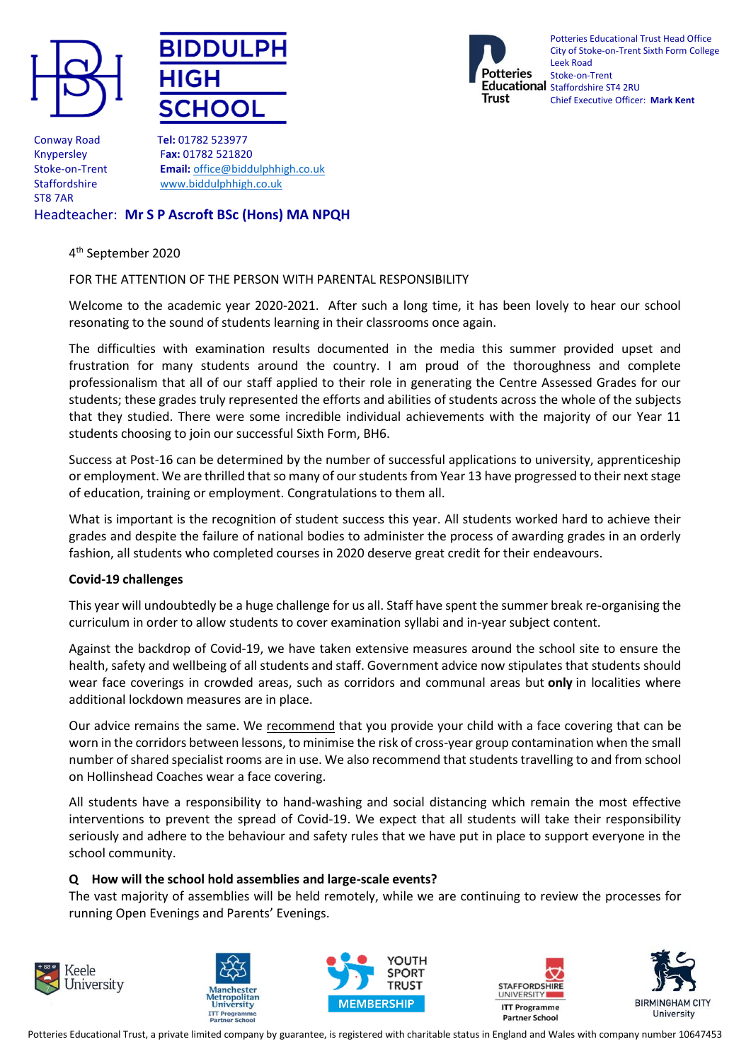





Potteries Educational Trust Head Office City of Stoke-on-Trent Sixth Form College Leek Road Stoke-on-Trent Educational staffordshire ST4 2RU Chief Executive Officer: **Mark Kent**

Conway Road T**el:** 01782 523977 ST8 7AR

Knypersley F**ax:** 01782 521820 Stoke-on-Trent **Email:** [office@biddulphhigh.co.uk](mailto:office@biddulphhigh.co.uk) Staffordshire [www.biddulphhigh.co.uk](http://www.biddulphhigh.co.uk/) 

# Headteacher: **Mr S P Ascroft BSc (Hons) MA NPQH**

### 4 th September 2020

### FOR THE ATTENTION OF THE PERSON WITH PARENTAL RESPONSIBILITY

Welcome to the academic year 2020-2021. After such a long time, it has been lovely to hear our school resonating to the sound of students learning in their classrooms once again.

The difficulties with examination results documented in the media this summer provided upset and frustration for many students around the country. I am proud of the thoroughness and complete professionalism that all of our staff applied to their role in generating the Centre Assessed Grades for our students; these grades truly represented the efforts and abilities of students across the whole of the subjects that they studied. There were some incredible individual achievements with the majority of our Year 11 students choosing to join our successful Sixth Form, BH6.

Success at Post-16 can be determined by the number of successful applications to university, apprenticeship or employment. We are thrilled that so many of our students from Year 13 have progressed to their next stage of education, training or employment. Congratulations to them all.

What is important is the recognition of student success this year. All students worked hard to achieve their grades and despite the failure of national bodies to administer the process of awarding grades in an orderly fashion, all students who completed courses in 2020 deserve great credit for their endeavours.

### **Covid-19 challenges**

This year will undoubtedly be a huge challenge for us all. Staff have spent the summer break re-organising the curriculum in order to allow students to cover examination syllabi and in-year subject content.

Against the backdrop of Covid-19, we have taken extensive measures around the school site to ensure the health, safety and wellbeing of all students and staff. Government advice now stipulates that students should wear face coverings in crowded areas, such as corridors and communal areas but **only** in localities where additional lockdown measures are in place.

Our advice remains the same. We recommend that you provide your child with a face covering that can be worn in the corridors between lessons, to minimise the risk of cross-year group contamination when the small number of shared specialist rooms are in use. We also recommend that students travelling to and from school on Hollinshead Coaches wear a face covering.

All students have a responsibility to hand-washing and social distancing which remain the most effective interventions to prevent the spread of Covid-19. We expect that all students will take their responsibility seriously and adhere to the behaviour and safety rules that we have put in place to support everyone in the school community.

### **Q How will the school hold assemblies and large-scale events?**

The vast majority of assemblies will be held remotely, while we are continuing to review the processes for running Open Evenings and Parents' Evenings.